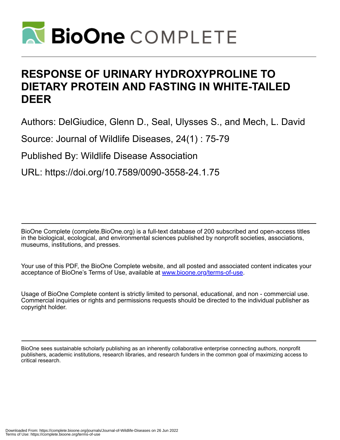

# **RESPONSE OF URINARY HYDROXYPROLINE TO DIETARY PROTEIN AND FASTING IN WHITE-TAILED DEER**

Authors: DelGiudice, Glenn D., Seal, Ulysses S., and Mech, L. David

Source: Journal of Wildlife Diseases, 24(1) : 75-79

Published By: Wildlife Disease Association

URL: https://doi.org/10.7589/0090-3558-24.1.75

BioOne Complete (complete.BioOne.org) is a full-text database of 200 subscribed and open-access titles in the biological, ecological, and environmental sciences published by nonprofit societies, associations, museums, institutions, and presses.

Your use of this PDF, the BioOne Complete website, and all posted and associated content indicates your acceptance of BioOne's Terms of Use, available at www.bioone.org/terms-of-use.

Usage of BioOne Complete content is strictly limited to personal, educational, and non - commercial use. Commercial inquiries or rights and permissions requests should be directed to the individual publisher as copyright holder.

BioOne sees sustainable scholarly publishing as an inherently collaborative enterprise connecting authors, nonprofit publishers, academic institutions, research libraries, and research funders in the common goal of maximizing access to critical research.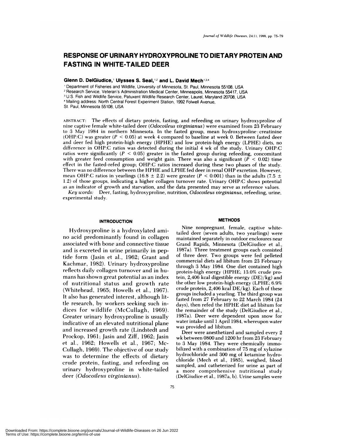# **RESPONSE OF URINARY HYDROXYPROLINE TO DIETARY PROTEIN AND FASTING IN WHITE-TAILED DEER**

**Glenn D. DelGiudice,<sup>1</sup> Ulysses S. Seal,<sup>12</sup> and L. David Mech<sup>134</sup>** 

Department of Fisheries and Wildlife, University of Minnesota, St. Paul, Minnesota 55108, USA

2 Research Service, Veteran's Administration Medical Center, Minneapolis, Minnesota 55417, USA

U.S. Fish and Wildlife Service, Patuxent Wildlife Research Center, Laurel, Maryland 20708, USA

Mailing address: North Central Forest Experiment Station, 1992 FoIwell Avenue,

St. Paul, Minnesota 55108, USA

ABSTRACT: The effects of dietary protein, fasting, and refeeding on urinary hydroxyproline of nine captive female white-tailed deer *(Odocoileus virginianus)* were examined from 23 February **to** 3 May 1984 in northern Minnesota. In the fasted group, mean hydroxyproline : creatinine (OHP:C) was **greater** *(P* < 0.05) at week 4 compared to baseline at week 0. Between fasted deer and deer fed high protein-high energy (HPHE) and low protein-high energy (LPHE) diets, no difference in OHP:C ratios was detected during the initial 4 wk of the study. Urinary OHP:C ratios were significantly  $(P < 0.05)$  greater in the fasted group during refeeding, concomitant with greater feed consumption and weight gain. There was also a significant *(P <* 0.02) time effect in the fasted-refed group; OHP:C ratios increased during these two phases of the study. There was no difference between the HPHE and LPHE fed deer in renal OHP excretion. However, mean OHP:C ratios in yearlings (16.8  $\pm$  2.2) were greater ( $P < 0.001$ ) than in the adults (7.5  $\pm$ 1.2) of those groups, indicating a higher collagen turnover rate. Urinary OHP:C shows potential as an indicator of growth and starvation, and the data presented may serve as reference values.

*Key words:* Deer, fasting, hvdroxyproline, nutrition, *Odocoileus virginianus,* refeeding, urine, experimental study.

#### **INTRODUCTION**

Hydroxyproline is a hydroxylated ami no acid predominantly found in collagen associated with bone and connective tissue and is excreted in urine primarily in peptide form (Jasin et al., 1962; Grant and Kachmar, 1982). Urinary hydroxyproline reflects daily collagen turnover and in hu mans has shown great potential as an index of nutritional status and growth rate (Whitehead, 1965; Howells et al., 1967). It also has generated interest, although little research, by workers seeking such indices for wildlife (McCullagh, 1969). Greater urinary hydroxyproline is usually indicative of an elevated nutritional plane and increased growth rate (Lindstedt and Prockop, 1961; Jasin and Ziff, 1962; Jasin et al., 1962; Howells et al., 1967; Mc-Cullagh, 1969). The objective of our study was to determine the effects of dietary crude protein, fasting, and refeeding on urinary hydroxyproline in white-tailed deer *(Odocoileus virginianus).*

#### **METHODS**

Nine nonpregnant, female, captive whitetailed deer (seven adults, two yearlings) were **maintained separately** in outdoor enclosures near Grand Rapids, Minnesota (DelGiudice et al., **1987a).** Three treatment groups each consisted of three deer. Two groups were fed pelleted commercial diets ad libitum from 23 February through 3 May 1984. One diet contained high **protein-high** energy (HPHE; 13.0% crude protein, 2,406 kcal digestible energy (DE)/kg) and the other low protein-high energy (LPHE; 6.9% crude protein, 2,406 kcal  $DE/kg$ ). Each of these groups included a yearling. The third group was fasted from 27 February to 22 March 1984 (24 days), then refed the HPHE diet ad libitum for the remainder of the study (DelGiudice et al., 1987a). Deer were dependent upon snow for water intake until 1 April 1984, whereupon water was provided ad libitum.

Deer were anesthetized and sampled every 2 wk between 0800 and 1200 hr from 23 February to 3 May 1984. They were chemically immobilized with a combination of 75 mg of xylazine hydrochloride and 300 mg of ketamine hydrochloride (Mech et al., 1985), weighed, blood sampled, and catheterized for urine as part of a more comprehensive nutritional study (DelCiudice et al., 1987a, b). Urine samples were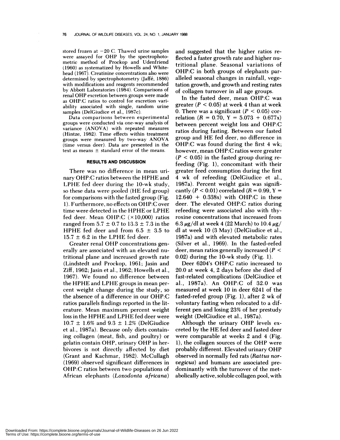stored frozen at  $-20$  C. Thawed urine samples were assayed for OHP by the spectrophotometric method of Prockop and Udenfriend (1960) as systematized by Howells and Whitehead (1967). Creatinine concentrations also were determined by spectrophotometry (Jaffé, 1886) with modifications and reagents recommended by Abbott Laboratories (1984). Comparisons of renal OHP excretion between groups were made as OHP:C ratios to control for excretion van ability associated with single, random urine samples (DelGiudice et al., 1987c).

Data **comparisons** between experimental groups were conducted via one-way analysis of variance (ANOVA) with repeated measures (Hintze, 1982). Time effects within treatment groups were measured by two-way ANOVA (time versus deer). Data are presented in the text as means  $\pm$  standard error of the means.

## **RESULTS AND DISCUSSION**

There was no difference in mean urinary OHP:C ratios between the HPHE and LPHE fed deer during the 10-wk study, so these data were pooled (HE fed group) for comparisons with the fasted group (Fig. 1). Furthermore, no effects on OHP:C over time were detected in the HPHE or LPHE fed deer. Mean OHP:C  $(\times 10,000)$  ratios ranged from  $5.7 \pm 0.7$  to  $13.3 \pm 7.3$  in the HPHE fed deer and from  $6.5 \pm 3.5$  to  $15.7 \pm 6.2$  in the LPHE fed deer.

Greater renal OHP concentrations generally are associated with an elevated nutritional plane and increased growth rate (Lindstedt and Prockop, 1961; Jasin and Ziff, 1962; Jasin et al., 1962; Howells et al., 1967). We found no difference between the HPHE and LPHE groups in mean percent weight change during the study, so the absence of a difference in our OHP:C ratios parallels findings reported in the literature. Mean maximum percent weight loss in the HPHE and LPHE fed deer were  $10.7 \pm 1.6\%$  and  $9.3 \pm 1.2\%$  (DelGiudice et al., 1987a). Because only diets containing collagen (meat, fish, and poultry) or gelatin contain OHP, urinary OHP in herbivores is not directly affected by diet (Grant and Kachmar, 1982). McCullagh (1969) observed significant differences in OHP:C ratios between two populations of African elephants *(Loxodonta africana)*

and suggested that the higher ratios reflected a faster growth rate and higher nutritional plane. Seasonal variations of OHP:C in both groups of elephants paralleled seasonal changes in rainfall, vegetation growth, and growth and resting rates of collagen turnover in allage groups.

In the fasted deer, mean OHP:C was greater  $(P < 0.05)$  at week 4 than at week 0. There was a significant  $(P < 0.05)$  correlation  $(R = 0.70, Y = 5.073 + 0.677x)$ between percent weight loss and OHP:C ratios during fasting. Between our fasted group and HE fed deer, no difference in OHP:C was found during the first 4 wk; however, mean OHP:C ratios were greater  $(P < 0.05)$  in the fasted group during refeeding (Fig. 1), concomitant with their greater feed consumption during the first *4* wk of refeeding (DelGiudice et al., 1987a). Percent weight gain was significantly  $(P < 0.01)$  correlated  $(R = 0.99, Y =$  $12.640 + 0.338x$  with OHP:C in these deer. The elevated OHP:C ratios during refeeding were associated also with thyroxine concentrations that increased from 6.3  $\mu$ g/dl at week 4 (22 March) to 10.4  $\mu$ g/ dl at week 10 (3 May) (DelGiudice et al., 1987a) and with elevated metabolic rates (Silver et al., 1969). In the fasted-refed deer, mean ratios generally increased *(P <sup>&</sup>lt;* 0.02) during the 10-wk study (Fig. 1).

Deer 6204's OHP:C ratio increased to 20.0 at week 4, 2 days before she died of fast-related complications (DelGiudice et al., 1987a). An OHP:C of 32.0 was measured at week 10 in deer 6241 of the fasted-refed group (Fig. 1), after 2 wk of voluntary fasting when relocated to a different pen and losing 23% of her prestudy weight (DelGiudice et al., 1987a).

Although the urinary OHP levels ex creted by the HE fed deer and fasted deer were comparable at weeks 2 and 4 (Fig. 1), the collagen sources of the OHP were probably different. Elevated urinary OHP observed in normally fed rats *(Rattus nor vegicus)* and humans are associated predominantly with the turnover of the met abolically active, soluble collagen pool, with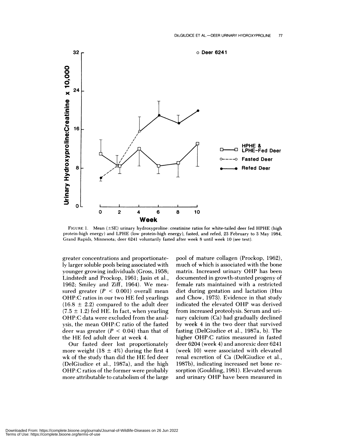

FIGURE 1. Mean (±SE) urinary hydroxyproline : creatinine ratios for white-tailed deer fed HPHE (high protein-high energy) and LPHE (low protein-high energy), fasted, and refed, 23 February to 3 May 1984, Grand Rapids, Minnesota; deer 6241 voluntarily fasted after week 8 until week 10 (see text).

greater concentrations and proportionately larger soluble poois being associated with younger growing individuals (Gross, 1958; Lindstedt and Prockop, 1961; Jasin et al., 1962; Smiley and Ziff, 1964). We mea sured greater  $(P < 0.001)$  overall mean OHP:C ratios in our two HE fed yearlings  $(16.8 \pm 2.2)$  compared to the adult deer  $(7.5 \pm 1.2)$  fed HE. In fact, when yearling OHP:C data were excluded from the analysis, the mean OHP:C ratio of the fasted deer was greater  $(P < 0.04)$  than that of the HE fed adult deer at week 4.

Our fasted deer lost proportionately more weight (18  $\pm$  4%) during the first 4 wk of the study than did the HE fed deer (DelGiudice et al., 1987a), and the high OHP:C ratios of the former were probably more attributable to catabolism of the large

pool of mature collagen (Prockop, 1962), much of which is associated with the bone matrix. Increased urinary OHP has been documented in growth-stunted progeny of female rats maintained with a restricted diet during gestation and lactation (Hsu and Chow, 1973). Evidence in that study indicated the elevated OHP was derived from increased proteolysis. Serum and urinary calcium (Ca) had gradually declined by week 4 in the two deer that survived fasting (DelGiudice et al., 1987a, b). The higher OHP:C ratios measured in fasted deer 6204 (week 4) and anorexic deer 6241 (week 10) were associated with elevated renal excretion of Ca (DelGiudice et al., 1987b), indicating increased net bone re sorption (Goulding, 1981). Elevated serum and urinary OHP have been measured in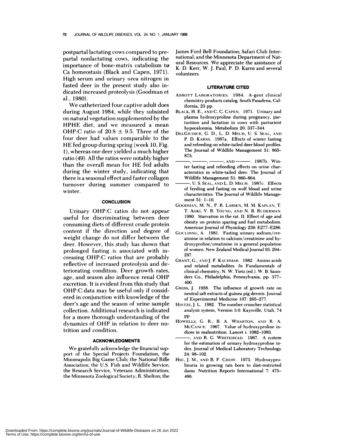postpartal lactating cows compared to prepartal nonlactating cows, indicating the importance of bone-matrix catabolism t Ca homeostasis (Black and Capen, 1971). High serum and urinary urea nitrogen in fasted deer in the present study also indicated increased proteolysis (Goodman et al., 1980).

We catheterized four captive adult does during August 1984, while they subsisted on natural vegetation supplemented by the HPHE diet, and we measured a mean OHP:C ratio of  $20.8 \pm 9.5$ . Three of the four deer had values comparable to the HE fed group during spring (week 10, Fig. 1), whereas one deer yielded a much higher ratio (49). All the ratios were notably higher than the overall mean for HE fed adults during the winter study, indicating that there is a seasonal effect and faster collagen turnover during summer compared to winter.

### **CONCLUSION**

Urinary OHP:C ratios do not appear useful for discriminating between deer consuming diets of different crude protein content if the direction and degree of weight change do not differ between the deer. However, this study has shown that prolonged fasting is associated with increasing OHP:C ratios that are probably reflective of increased proteolysis and deteriorating condition. Deer growth rates, age, and season also influence renal OHP excretion. It is evident from this study that OHP:C data may be useful only if considered in conjunction with knowledge of the deer's age and the season of urine sample collection. Additional research is indicated for a more thorough understanding of the dynamics of OHP in relation to deer nutrition and condition.

#### **ACKNOWLEDGMENTS**

We gratefully acknowledge the financial support of the Special Projects Foundation, the Minneapolis Big Game Club; the National Rifle Association; the U.S. Fish and Wildlife Service; the Research Service, Veterans Administration; the Minnesota Zoological Society; R. Shelton; the James Ford Bell Foundation; Safari Club International; and the Minnesota Department of Natural Resources. We appreciate the assistance of K. D. Kerr, W. J. Paul, P. D. Karns and several volunteers.

#### **LITERATURE CITED**

- **ABBOTT LABORATORIES.** 1984. A-gent clinical chemistry products catalog. South Pasadena, Cal**ifornia,** 23 pp.
- **BLACK,** H. E., **AND** C. C. CAPEN. 1971. Urinary and plasma hydroxyproline during pregnancy, parturition and lactation in cows with parturient hypocalcemia. Metabolism 20: 337-344.
- **DELCIUDICE,** C. D., L. D. MEcFI, U. S. SEAL, AND P. D. KARNS. 1987a. Effects of winter fasting and refeeding on white-tailed deer blood profiles. The Journal of Wildlife Management 51: 865- 873.
- , ' , **AND** . 1987b. Win ter fasting and refeeding effects on urine char acteristics in white-tailed deer. The Journal of Wildlife Management 51: 860-864.
- U. S. SEAL, AND L. D. MECH. 1987c. Effects of feeding and fasting on wolf blood and urine characteristics. The Journal of Wildlife Manage ment 51: 1-10.
- GOODMAN, M. N., P. R. LARSEN, M. M. KAPLAN, T. T. AOKI, V. R. YOUNG, AND N. B. RUDERMAN. 1980. Starvation in the rat. II. Effect of age and obesity on protein sparing and fuel metabolism. American Journal of Physiology 239: E277-E286.
- GOULDING, A. 1981. Fasting urinary sodium/creatinine in relation to calcium/creatinine and hydroxyproline/creatinine in a general population of women. New Zealand Medical Journal 93: 294- 297.
- GRANT, G., AND J. F. KACHMAR. 1982. Amino acids and related metabolites. *In* Fundamentals of clinical chemistry, N. W. Tietz (ed). W. B. Saunders Co., Philadelphia, Pennsylvania, pp. 377- 400.
- **CROSS,** J. 1958. The influence of growth rate on neutral salt extracts of guinea pig dermis. Journal of Experimental Medicine 107: 265-277.
- HINTZE, J. L. 1982. The number cruncher statistical analysis system, Version 3.0. Kaysville, Utah, 74 pp.
- **HOWELLS,** C. R., B. A. WHARTON, AND R. A. MCCANE. 1967. Value of hydroxyproline indices in malnutrition. Lancet i: 1082-1083.
- AN!) R. C. **WIIITEHEAD.** 1967. A system for the estimation of urinary hydroxyproline index. Journal of Medical Laboratory Technology 24: 98-102.
- HSU, J. M., AND B. F. **CHOW.** 1973. Hydroxyprolinuria in growing rats born to diet-restricted dams. Nutrition Reports International 7: 475- 486.